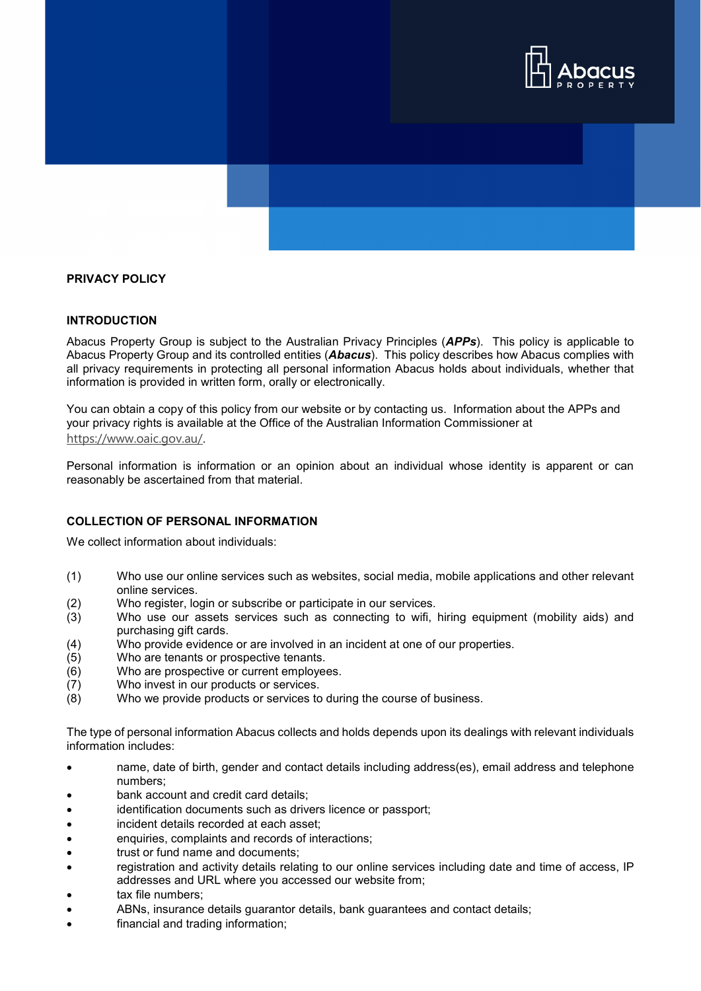

# **PRIVACY POLICY**

#### **INTRODUCTION**

Abacus Property Group is subject to the Australian Privacy Principles (*APPs*). This policy is applicable to Abacus Property Group and its controlled entities (*Abacus*). This policy describes how Abacus complies with all privacy requirements in protecting all personal information Abacus holds about individuals, whether that information is provided in written form, orally or electronically.

You can obtain a copy of this policy from our website or by contacting us. Information about the APPs and your privacy rights is available at the Office of the Australian Information Commissioner at <https://www.oaic.gov.au/>.

Personal information is information or an opinion about an individual whose identity is apparent or can reasonably be ascertained from that material.

## **COLLECTION OF PERSONAL INFORMATION**

We collect information about individuals:

- (1) Who use our online services such as websites, social media, mobile applications and other relevant online services.
- (2) Who register, login or subscribe or participate in our services.
- (3) Who use our assets services such as connecting to wifi, hiring equipment (mobility aids) and purchasing gift cards.
- (4) Who provide evidence or are involved in an incident at one of our properties.
- (5) Who are tenants or prospective tenants.<br>(6) Who are prospective or current employee
- Who are prospective or current employees.
- (7) Who invest in our products or services.
- (8) Who we provide products or services to during the course of business.

The type of personal information Abacus collects and holds depends upon its dealings with relevant individuals information includes:

- name, date of birth, gender and contact details including address(es), email address and telephone numbers;
- bank account and credit card details:
- identification documents such as drivers licence or passport;
- incident details recorded at each asset:
- enquiries, complaints and records of interactions;
- trust or fund name and documents;
- registration and activity details relating to our online services including date and time of access, IP addresses and URL where you accessed our website from;
- tax file numbers;
- ABNs, insurance details guarantor details, bank guarantees and contact details;
- financial and trading information;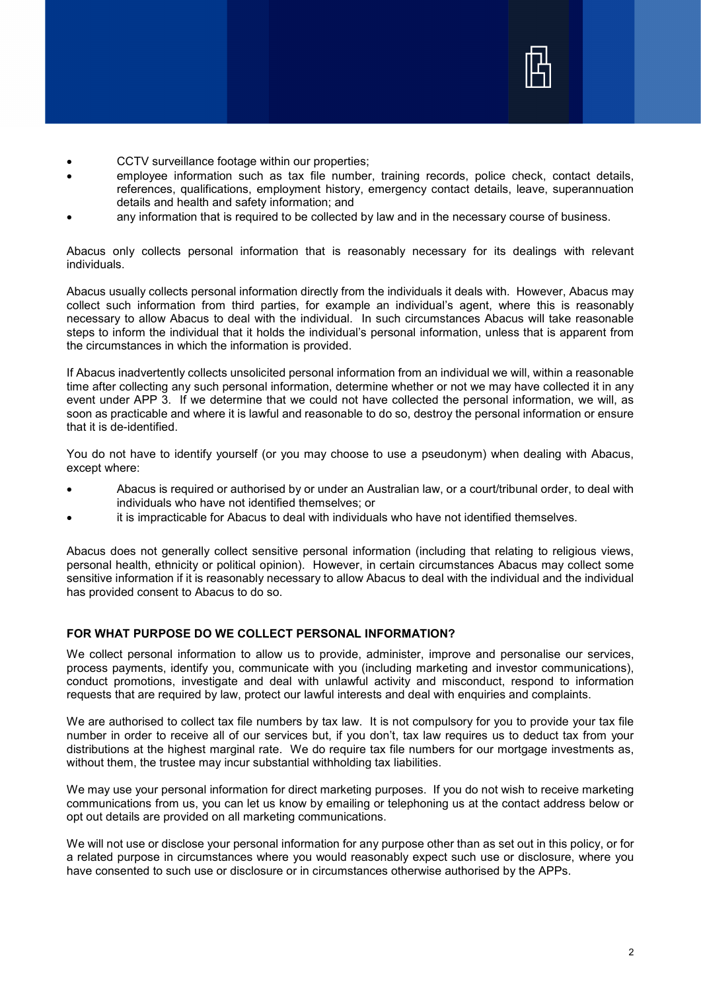

- CCTV surveillance footage within our properties;
- emplovee information such as tax file number, training records, police check, contact details, references, qualifications, employment history, emergency contact details, leave, superannuation details and health and safety information; and
- any information that is required to be collected by law and in the necessary course of business.

Abacus only collects personal information that is reasonably necessary for its dealings with relevant individuals.

Abacus usually collects personal information directly from the individuals it deals with. However, Abacus may collect such information from third parties, for example an individual's agent, where this is reasonably necessary to allow Abacus to deal with the individual. In such circumstances Abacus will take reasonable steps to inform the individual that it holds the individual's personal information, unless that is apparent from the circumstances in which the information is provided.

If Abacus inadvertently collects unsolicited personal information from an individual we will, within a reasonable time after collecting any such personal information, determine whether or not we may have collected it in any event under APP 3. If we determine that we could not have collected the personal information, we will, as soon as practicable and where it is lawful and reasonable to do so, destroy the personal information or ensure that it is de-identified.

You do not have to identify yourself (or you may choose to use a pseudonym) when dealing with Abacus, except where:

- Abacus is required or authorised by or under an Australian law, or a court/tribunal order, to deal with individuals who have not identified themselves; or
- it is impracticable for Abacus to deal with individuals who have not identified themselves.

Abacus does not generally collect sensitive personal information (including that relating to religious views, personal health, ethnicity or political opinion). However, in certain circumstances Abacus may collect some sensitive information if it is reasonably necessary to allow Abacus to deal with the individual and the individual has provided consent to Abacus to do so.

# **FOR WHAT PURPOSE DO WE COLLECT PERSONAL INFORMATION?**

We collect personal information to allow us to provide, administer, improve and personalise our services, process payments, identify you, communicate with you (including marketing and investor communications), conduct promotions, investigate and deal with unlawful activity and misconduct, respond to information requests that are required by law, protect our lawful interests and deal with enquiries and complaints.

We are authorised to collect tax file numbers by tax law. It is not compulsory for you to provide your tax file number in order to receive all of our services but, if you don't, tax law requires us to deduct tax from your distributions at the highest marginal rate. We do require tax file numbers for our mortgage investments as, without them, the trustee may incur substantial withholding tax liabilities.

We may use your personal information for direct marketing purposes. If you do not wish to receive marketing communications from us, you can let us know by emailing or telephoning us at the contact address below or opt out details are provided on all marketing communications.

We will not use or disclose your personal information for any purpose other than as set out in this policy, or for a related purpose in circumstances where you would reasonably expect such use or disclosure, where you have consented to such use or disclosure or in circumstances otherwise authorised by the APPs.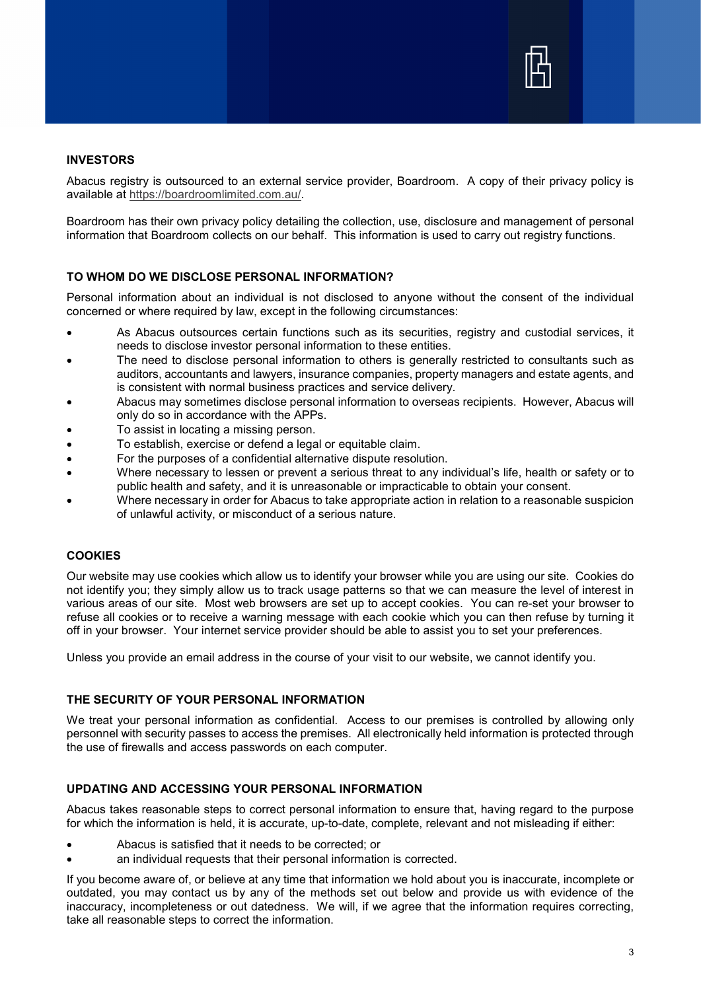

## **INVESTORS**

Abacus registry is outsourced to an external service provider, Boardroom. A copy of their privacy policy is available at [https://boardroomlimited.com.au/.](https://boardroomlimited.com.au/)

Boardroom has their own privacy policy detailing the collection, use, disclosure and management of personal information that Boardroom collects on our behalf. This information is used to carry out registry functions.

### **TO WHOM DO WE DISCLOSE PERSONAL INFORMATION?**

Personal information about an individual is not disclosed to anyone without the consent of the individual concerned or where required by law, except in the following circumstances:

- As Abacus outsources certain functions such as its securities, registry and custodial services, it needs to disclose investor personal information to these entities.
- The need to disclose personal information to others is generally restricted to consultants such as auditors, accountants and lawyers, insurance companies, property managers and estate agents, and is consistent with normal business practices and service delivery.
- Abacus may sometimes disclose personal information to overseas recipients. However, Abacus will only do so in accordance with the APPs.
- To assist in locating a missing person.
- To establish, exercise or defend a legal or equitable claim.
- For the purposes of a confidential alternative dispute resolution.
- Where necessary to lessen or prevent a serious threat to any individual's life, health or safety or to public health and safety, and it is unreasonable or impracticable to obtain your consent.
- Where necessary in order for Abacus to take appropriate action in relation to a reasonable suspicion of unlawful activity, or misconduct of a serious nature.

# **COOKIES**

Our website may use cookies which allow us to identify your browser while you are using our site. Cookies do not identify you; they simply allow us to track usage patterns so that we can measure the level of interest in various areas of our site. Most web browsers are set up to accept cookies. You can re-set your browser to refuse all cookies or to receive a warning message with each cookie which you can then refuse by turning it off in your browser. Your internet service provider should be able to assist you to set your preferences.

Unless you provide an email address in the course of your visit to our website, we cannot identify you.

### **THE SECURITY OF YOUR PERSONAL INFORMATION**

We treat your personal information as confidential. Access to our premises is controlled by allowing only personnel with security passes to access the premises. All electronically held information is protected through the use of firewalls and access passwords on each computer.

### **UPDATING AND ACCESSING YOUR PERSONAL INFORMATION**

Abacus takes reasonable steps to correct personal information to ensure that, having regard to the purpose for which the information is held, it is accurate, up-to-date, complete, relevant and not misleading if either:

- Abacus is satisfied that it needs to be corrected; or
- an individual requests that their personal information is corrected.

If you become aware of, or believe at any time that information we hold about you is inaccurate, incomplete or outdated, you may contact us by any of the methods set out below and provide us with evidence of the inaccuracy, incompleteness or out datedness. We will, if we agree that the information requires correcting, take all reasonable steps to correct the information.